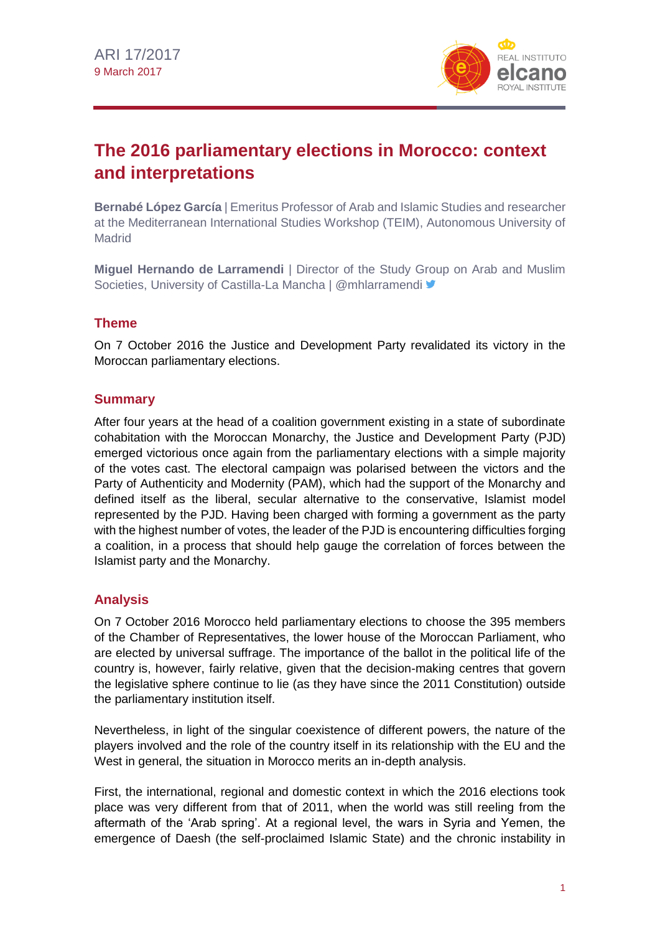

# **The 2016 parliamentary elections in Morocco: context and interpretations**

**Bernabé López García** | Emeritus Professor of Arab and Islamic Studies and researcher at the Mediterranean International Studies Workshop (TEIM), Autonomous University of **Madrid** 

**Miguel Hernando de Larramendi** | Director of the Study Group on Arab and Muslim Societies, University of Castilla-La Mancha | @mhlarramendi <a>

# **Theme**

On 7 October 2016 the Justice and Development Party revalidated its victory in the Moroccan parliamentary elections.

# **Summary**

After four years at the head of a coalition government existing in a state of subordinate cohabitation with the Moroccan Monarchy, the Justice and Development Party (PJD) emerged victorious once again from the parliamentary elections with a simple majority of the votes cast. The electoral campaign was polarised between the victors and the Party of Authenticity and Modernity (PAM), which had the support of the Monarchy and defined itself as the liberal, secular alternative to the conservative, Islamist model represented by the PJD. Having been charged with forming a government as the party with the highest number of votes, the leader of the PJD is encountering difficulties forging a coalition, in a process that should help gauge the correlation of forces between the Islamist party and the Monarchy.

# **Analysis**

On 7 October 2016 Morocco held parliamentary elections to choose the 395 members of the Chamber of Representatives, the lower house of the Moroccan Parliament, who are elected by universal suffrage. The importance of the ballot in the political life of the country is, however, fairly relative, given that the decision-making centres that govern the legislative sphere continue to lie (as they have since the 2011 Constitution) outside the parliamentary institution itself.

Nevertheless, in light of the singular coexistence of different powers, the nature of the players involved and the role of the country itself in its relationship with the EU and the West in general, the situation in Morocco merits an in-depth analysis.

First, the international, regional and domestic context in which the 2016 elections took place was very different from that of 2011, when the world was still reeling from the aftermath of the 'Arab spring'. At a regional level, the wars in Syria and Yemen, the emergence of Daesh (the self-proclaimed Islamic State) and the chronic instability in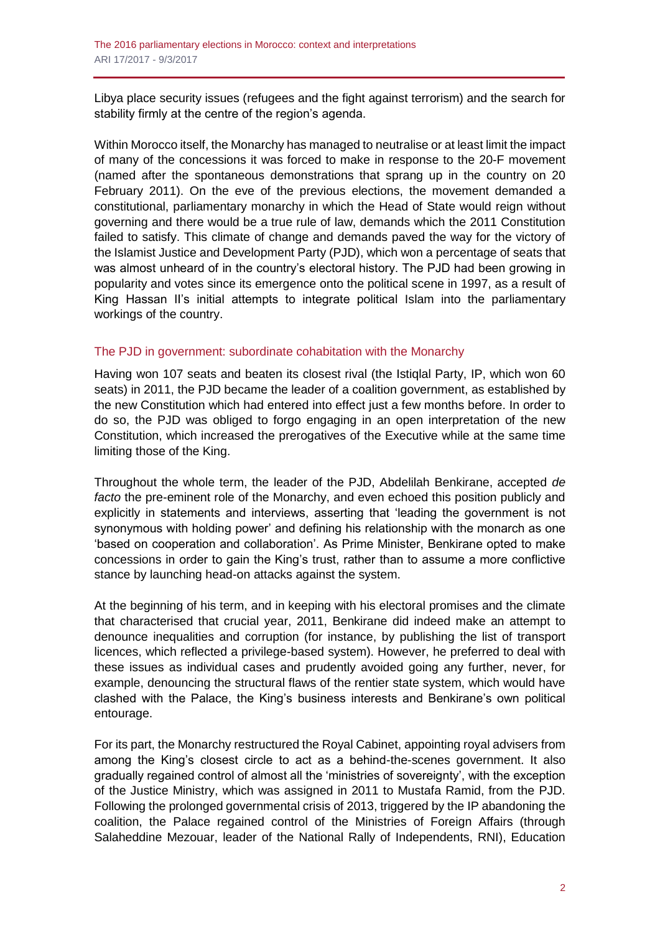Libya place security issues (refugees and the fight against terrorism) and the search for stability firmly at the centre of the region's agenda.

Within Morocco itself, the Monarchy has managed to neutralise or at least limit the impact of many of the concessions it was forced to make in response to the 20-F movement (named after the spontaneous demonstrations that sprang up in the country on 20 February 2011). On the eve of the previous elections, the movement demanded a constitutional, parliamentary monarchy in which the Head of State would reign without governing and there would be a true rule of law, demands which the 2011 Constitution failed to satisfy. This climate of change and demands paved the way for the victory of the Islamist Justice and Development Party (PJD), which won a percentage of seats that was almost unheard of in the country's electoral history. The PJD had been growing in popularity and votes since its emergence onto the political scene in 1997, as a result of King Hassan II's initial attempts to integrate political Islam into the parliamentary workings of the country.

## The PJD in government: subordinate cohabitation with the Monarchy

Having won 107 seats and beaten its closest rival (the Istiqlal Party, IP, which won 60 seats) in 2011, the PJD became the leader of a coalition government, as established by the new Constitution which had entered into effect just a few months before. In order to do so, the PJD was obliged to forgo engaging in an open interpretation of the new Constitution, which increased the prerogatives of the Executive while at the same time limiting those of the King.

Throughout the whole term, the leader of the PJD, Abdelilah Benkirane, accepted *de facto* the pre-eminent role of the Monarchy, and even echoed this position publicly and explicitly in statements and interviews, asserting that 'leading the government is not synonymous with holding power' and defining his relationship with the monarch as one 'based on cooperation and collaboration'. As Prime Minister, Benkirane opted to make concessions in order to gain the King's trust, rather than to assume a more conflictive stance by launching head-on attacks against the system.

At the beginning of his term, and in keeping with his electoral promises and the climate that characterised that crucial year, 2011, Benkirane did indeed make an attempt to denounce inequalities and corruption (for instance, by publishing the list of transport licences, which reflected a privilege-based system). However, he preferred to deal with these issues as individual cases and prudently avoided going any further, never, for example, denouncing the structural flaws of the rentier state system, which would have clashed with the Palace, the King's business interests and Benkirane's own political entourage.

For its part, the Monarchy restructured the Royal Cabinet, appointing royal advisers from among the King's closest circle to act as a behind-the-scenes government. It also gradually regained control of almost all the 'ministries of sovereignty', with the exception of the Justice Ministry, which was assigned in 2011 to Mustafa Ramid, from the PJD. Following the prolonged governmental crisis of 2013, triggered by the IP abandoning the coalition, the Palace regained control of the Ministries of Foreign Affairs (through Salaheddine Mezouar, leader of the National Rally of Independents, RNI), Education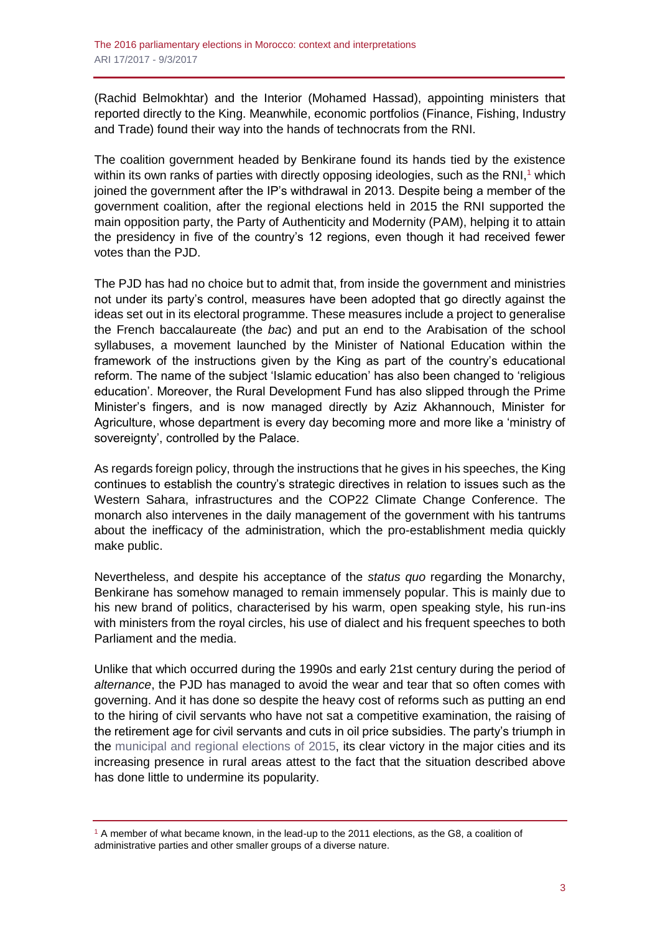(Rachid Belmokhtar) and the Interior (Mohamed Hassad), appointing ministers that reported directly to the King. Meanwhile, economic portfolios (Finance, Fishing, Industry and Trade) found their way into the hands of technocrats from the RNI.

The coalition government headed by Benkirane found its hands tied by the existence within its own ranks of parties with directly opposing ideologies, such as the RNI $,1$  which joined the government after the IP's withdrawal in 2013. Despite being a member of the government coalition, after the regional elections held in 2015 the RNI supported the main opposition party, the Party of Authenticity and Modernity (PAM), helping it to attain the presidency in five of the country's 12 regions, even though it had received fewer votes than the PJD.

The PJD has had no choice but to admit that, from inside the government and ministries not under its party's control, measures have been adopted that go directly against the ideas set out in its electoral programme. These measures include a project to generalise the French baccalaureate (the *bac*) and put an end to the Arabisation of the school syllabuses, a movement launched by the Minister of National Education within the framework of the instructions given by the King as part of the country's educational reform. The name of the subject 'Islamic education' has also been changed to 'religious education'. Moreover, the Rural Development Fund has also slipped through the Prime Minister's fingers, and is now managed directly by Aziz Akhannouch, Minister for Agriculture, whose department is every day becoming more and more like a 'ministry of sovereignty', controlled by the Palace.

As regards foreign policy, through the instructions that he gives in his speeches, the King continues to establish the country's strategic directives in relation to issues such as the Western Sahara, infrastructures and the COP22 Climate Change Conference. The monarch also intervenes in the daily management of the government with his tantrums about the inefficacy of the administration, which the pro-establishment media quickly make public.

Nevertheless, and despite his acceptance of the *status quo* regarding the Monarchy, Benkirane has somehow managed to remain immensely popular. This is mainly due to his new brand of politics, characterised by his warm, open speaking style, his run-ins with ministers from the royal circles, his use of dialect and his frequent speeches to both Parliament and the media.

Unlike that which occurred during the 1990s and early 21st century during the period of *alternance*, the PJD has managed to avoid the wear and tear that so often comes with governing. And it has done so despite the heavy cost of reforms such as putting an end to the hiring of civil servants who have not sat a competitive examination, the raising of the retirement age for civil servants and cuts in oil price subsidies. The party's triumph in the [municipal and regional elections of 2015,](https://revistas.uam.es/index.php/reim/article/view/4699) its clear victory in the major cities and its increasing presence in rural areas attest to the fact that the situation described above has done little to undermine its popularity.

 $1$  A member of what became known, in the lead-up to the 2011 elections, as the G8, a coalition of administrative parties and other smaller groups of a diverse nature.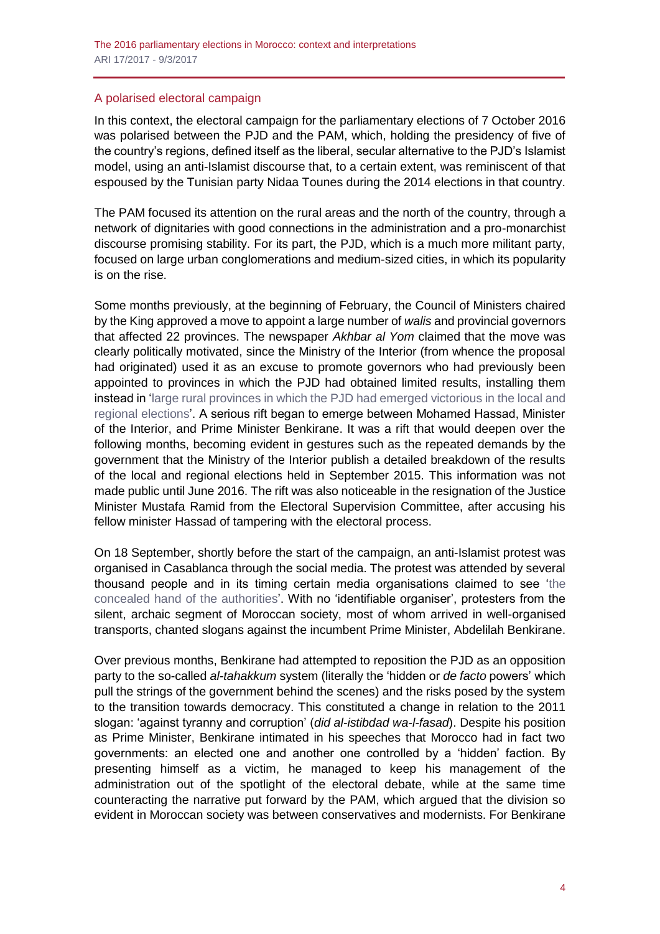## A polarised electoral campaign

In this context, the electoral campaign for the parliamentary elections of 7 October 2016 was polarised between the PJD and the PAM, which, holding the presidency of five of the country's regions, defined itself as the liberal, secular alternative to the PJD's Islamist model, using an anti-Islamist discourse that, to a certain extent, was reminiscent of that espoused by the Tunisian party Nidaa Tounes during the 2014 elections in that country.

The PAM focused its attention on the rural areas and the north of the country, through a network of dignitaries with good connections in the administration and a pro-monarchist discourse promising stability. For its part, the PJD, which is a much more militant party, focused on large urban conglomerations and medium-sized cities, in which its popularity is on the rise.

Some months previously, at the beginning of February, the Council of Ministers chaired by the King approved a move to appoint a large number of *walis* and provincial governors that affected 22 provinces. The newspaper *Akhbar al Yom* claimed that the move was clearly politically motivated, since the Ministry of the Interior (from whence the proposal had originated) used it as an excuse to promote governors who had previously been appointed to provinces in which the PJD had obtained limited results, installing them instead in ['large rural provinces in which the PJD had emerged victorious in the local and](http://fr.le360.ma/politique/walis-et-gouverneurs-un-mouvement-cible-les-fiefs-du-pjd-62850)  [regional elections'](http://fr.le360.ma/politique/walis-et-gouverneurs-un-mouvement-cible-les-fiefs-du-pjd-62850). A serious rift began to emerge between Mohamed Hassad, Minister of the Interior, and Prime Minister Benkirane. It was a rift that would deepen over the following months, becoming evident in gestures such as the repeated demands by the government that the Ministry of the Interior publish a detailed breakdown of the results of the local and regional elections held in September 2015. This information was not made public until June 2016. The rift was also noticeable in the resignation of the Justice Minister Mustafa Ramid from the Electoral Supervision Committee, after accusing his fellow minister Hassad of tampering with the electoral process.

On 18 September, shortly before the start of the campaign, an anti-Islamist protest was organised in Casablanca through the social media. The protest was attended by several thousand people and in its timing certain media organisations claimed to see ['the](https://ledesk.ma/2016/09/18/la-marche-spontanee-contre-le-pjd-a-casablanca-revele-la-main-cachee-des-autorites-dans-sa-planification/)  [concealed hand of the authorities'](https://ledesk.ma/2016/09/18/la-marche-spontanee-contre-le-pjd-a-casablanca-revele-la-main-cachee-des-autorites-dans-sa-planification/). With no 'identifiable organiser', protesters from the silent, archaic segment of Moroccan society, most of whom arrived in well-organised transports, chanted slogans against the incumbent Prime Minister, Abdelilah Benkirane.

Over previous months, Benkirane had attempted to reposition the PJD as an opposition party to the so-called *al-tahakkum* system (literally the 'hidden or *de facto* powers' which pull the strings of the government behind the scenes) and the risks posed by the system to the transition towards democracy. This constituted a change in relation to the 2011 slogan: 'against tyranny and corruption' (*did al-istibdad wa-l-fasad*). Despite his position as Prime Minister, Benkirane intimated in his speeches that Morocco had in fact two governments: an elected one and another one controlled by a 'hidden' faction. By presenting himself as a victim, he managed to keep his management of the administration out of the spotlight of the electoral debate, while at the same time counteracting the narrative put forward by the PAM, which argued that the division so evident in Moroccan society was between conservatives and modernists. For Benkirane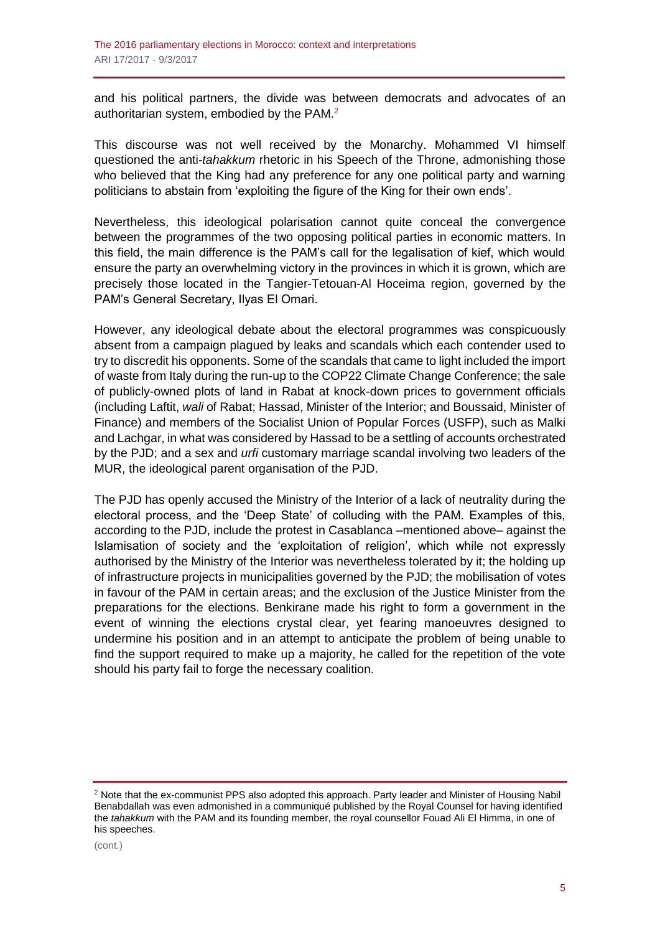and his political partners, the divide was between democrats and advocates of an authoritarian system, embodied by the PAM.<sup>2</sup>

This discourse was not well received by the Monarchy. Mohammed VI himself questioned the anti-*tahakkum* rhetoric in his Speech of the Throne, admonishing those who believed that the King had any preference for any one political party and warning politicians to abstain from 'exploiting the figure of the King for their own ends'.

Nevertheless, this ideological polarisation cannot quite conceal the convergence between the programmes of the two opposing political parties in economic matters. In this field, the main difference is the PAM's call for the legalisation of kief, which would ensure the party an overwhelming victory in the provinces in which it is grown, which are precisely those located in the Tangier-Tetouan-Al Hoceima region, governed by the PAM's General Secretary, Ilyas El Omari.

However, any ideological debate about the electoral programmes was conspicuously absent from a campaign plagued by leaks and scandals which each contender used to try to discredit his opponents. Some of the scandals that came to light included the import of waste from Italy during the run-up to the COP22 Climate Change Conference; the sale of publicly-owned plots of land in Rabat at knock-down prices to government officials (including Laftit, *wali* of Rabat; Hassad, Minister of the Interior; and Boussaid, Minister of Finance) and members of the Socialist Union of Popular Forces (USFP), such as Malki and Lachgar, in what was considered by Hassad to be a settling of accounts orchestrated by the PJD; and a sex and *urfi* customary marriage scandal involving two leaders of the MUR, the ideological parent organisation of the PJD.

The PJD has openly accused the Ministry of the Interior of a lack of neutrality during the electoral process, and the 'Deep State' of colluding with the PAM. Examples of this, according to the PJD, include the protest in Casablanca –mentioned above– against the Islamisation of society and the 'exploitation of religion', which while not expressly authorised by the Ministry of the Interior was nevertheless tolerated by it; the holding up of infrastructure projects in municipalities governed by the PJD; the mobilisation of votes in favour of the PAM in certain areas; and the exclusion of the Justice Minister from the preparations for the elections. Benkirane made his right to form a government in the event of winning the elections crystal clear, yet fearing manoeuvres designed to undermine his position and in an attempt to anticipate the problem of being unable to find the support required to make up a majority, he called for the repetition of the vote should his party fail to forge the necessary coalition.

 $2$  Note that the ex-communist PPS also adopted this approach. Party leader and Minister of Housing Nabil Benabdallah was even admonished in a communiqué published by the Royal Counsel for having identified the *tahakkum* with the PAM and its founding member, the royal counsellor Fouad Ali El Himma, in one of his speeches.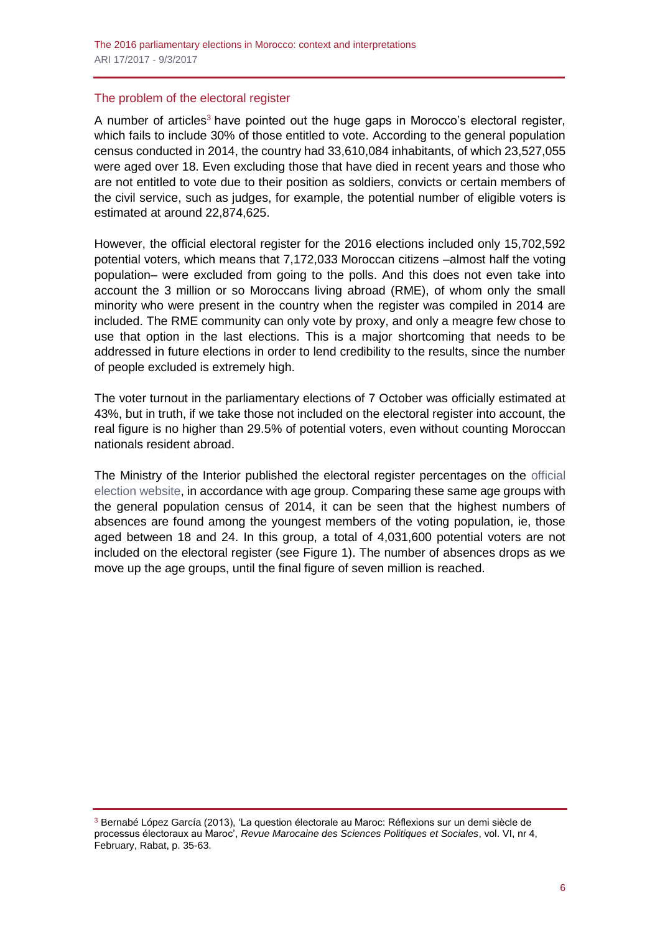## The problem of the electoral register

A number of articles<sup>3</sup> have pointed out the huge gaps in Morocco's electoral register, which fails to include 30% of those entitled to vote. According to the general population census conducted in 2014, the country had 33,610,084 inhabitants, of which 23,527,055 were aged over 18. Even excluding those that have died in recent years and those who are not entitled to vote due to their position as soldiers, convicts or certain members of the civil service, such as judges, for example, the potential number of eligible voters is estimated at around 22,874,625.

However, the official electoral register for the 2016 elections included only 15,702,592 potential voters, which means that 7,172,033 Moroccan citizens –almost half the voting population– were excluded from going to the polls. And this does not even take into account the 3 million or so Moroccans living abroad (RME), of whom only the small minority who were present in the country when the register was compiled in 2014 are included. The RME community can only vote by proxy, and only a meagre few chose to use that option in the last elections. This is a major shortcoming that needs to be addressed in future elections in order to lend credibility to the results, since the number of people excluded is extremely high.

The voter turnout in the parliamentary elections of 7 October was officially estimated at 43%, but in truth, if we take those not included on the electoral register into account, the real figure is no higher than 29.5% of potential voters, even without counting Moroccan nationals resident abroad.

The Ministry of the Interior published the electoral register percentages on the [official](http://www.elections.ma/)  [election website,](http://www.elections.ma/) in accordance with age group. Comparing these same age groups with the general population census of 2014, it can be seen that the highest numbers of absences are found among the youngest members of the voting population, ie, those aged between 18 and 24. In this group, a total of 4,031,600 potential voters are not included on the electoral register (see Figure 1). The number of absences drops as we move up the age groups, until the final figure of seven million is reached.

<sup>3</sup> Bernabé López García (2013), 'La question électorale au Maroc: Réflexions sur un demi siècle de processus électoraux au Maroc', *Revue Marocaine des Sciences Politiques et Sociales*, vol. VI, nr 4, February, Rabat, p. 35-63.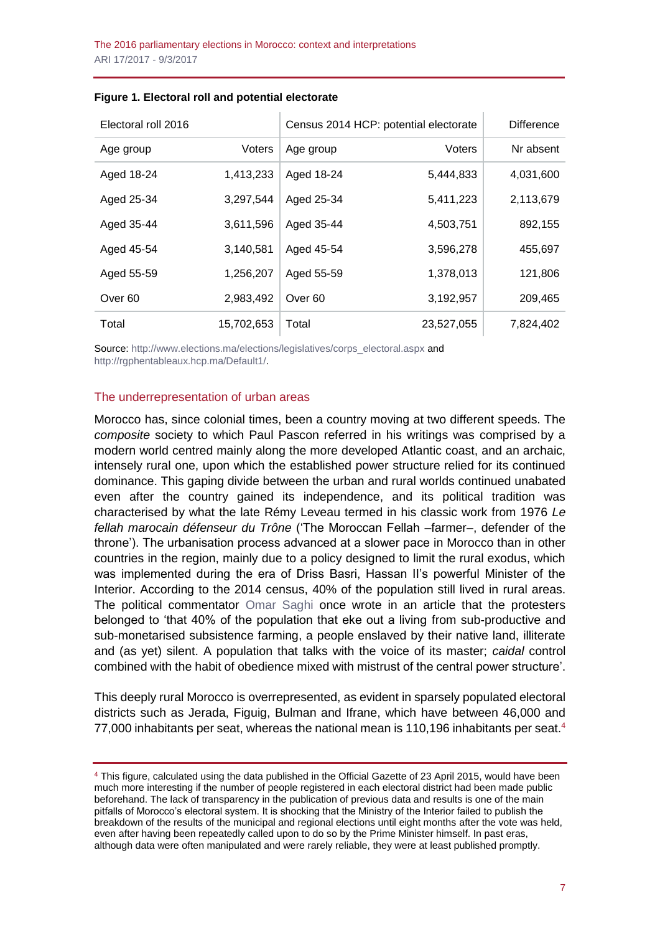| Electoral roll 2016 |            | Census 2014 HCP: potential electorate |            | <b>Difference</b> |
|---------------------|------------|---------------------------------------|------------|-------------------|
| Age group           | Voters     | Age group                             | Voters     | Nr absent         |
| Aged 18-24          | 1,413,233  | Aged 18-24                            | 5,444,833  | 4,031,600         |
| Aged 25-34          | 3,297,544  | Aged 25-34                            | 5,411,223  | 2,113,679         |
| Aged 35-44          | 3,611,596  | Aged 35-44                            | 4,503,751  | 892,155           |
| Aged 45-54          | 3,140,581  | Aged 45-54                            | 3,596,278  | 455,697           |
| Aged 55-59          | 1,256,207  | Aged 55-59                            | 1,378,013  | 121,806           |
| Over <sub>60</sub>  | 2,983,492  | Over <sub>60</sub>                    | 3,192,957  | 209,465           |
| Total               | 15,702,653 | Total                                 | 23,527,055 | 7,824,402         |

#### **Figure 1. Electoral roll and potential electorate**

Source[: http://www.elections.ma/elections/legislatives/corps\\_electoral.aspx](http://www.elections.ma/elections/legislatives/corps_electoral.aspx) and [http://rgphentableaux.hcp.ma/Default1/.](http://rgphentableaux.hcp.ma/Default1/)

#### The underrepresentation of urban areas

Morocco has, since colonial times, been a country moving at two different speeds. The *composite* society to which Paul Pascon referred in his writings was comprised by a modern world centred mainly along the more developed Atlantic coast, and an archaic, intensely rural one, upon which the established power structure relied for its continued dominance. This gaping divide between the urban and rural worlds continued unabated even after the country gained its independence, and its political tradition was characterised by what the late Rémy Leveau termed in his classic work from 1976 *Le fellah marocain défenseur du Trône* ('The Moroccan Fellah –farmer–, defender of the throne'). The urbanisation process advanced at a slower pace in Morocco than in other countries in the region, mainly due to a policy designed to limit the rural exodus, which was implemented during the era of Driss Basri, Hassan II's powerful Minister of the Interior. According to the 2014 census, 40% of the population still lived in rural areas. The political commentator [Omar Saghi](https://omarsaghi.com/2016/10/05/40/#more-1415) once wrote in an article that the protesters belonged to 'that 40% of the population that eke out a living from sub-productive and sub-monetarised subsistence farming, a people enslaved by their native land, illiterate and (as yet) silent. A population that talks with the voice of its master; *caidal* control combined with the habit of obedience mixed with mistrust of the central power structure'.

This deeply rural Morocco is overrepresented, as evident in sparsely populated electoral districts such as Jerada, Figuig, Bulman and Ifrane, which have between 46,000 and 77,000 inhabitants per seat, whereas the national mean is 110,196 inhabitants per seat.<sup>4</sup>

<sup>4</sup> This figure, calculated using the data published in the Official Gazette of 23 April 2015, would have been much more interesting if the number of people registered in each electoral district had been made public beforehand. The lack of transparency in the publication of previous data and results is one of the main pitfalls of Morocco's electoral system. It is shocking that the Ministry of the Interior failed to publish the breakdown of the results of the municipal and regional elections until eight months after the vote was held, even after having been repeatedly called upon to do so by the Prime Minister himself. In past eras, although data were often manipulated and were rarely reliable, they were at least published promptly.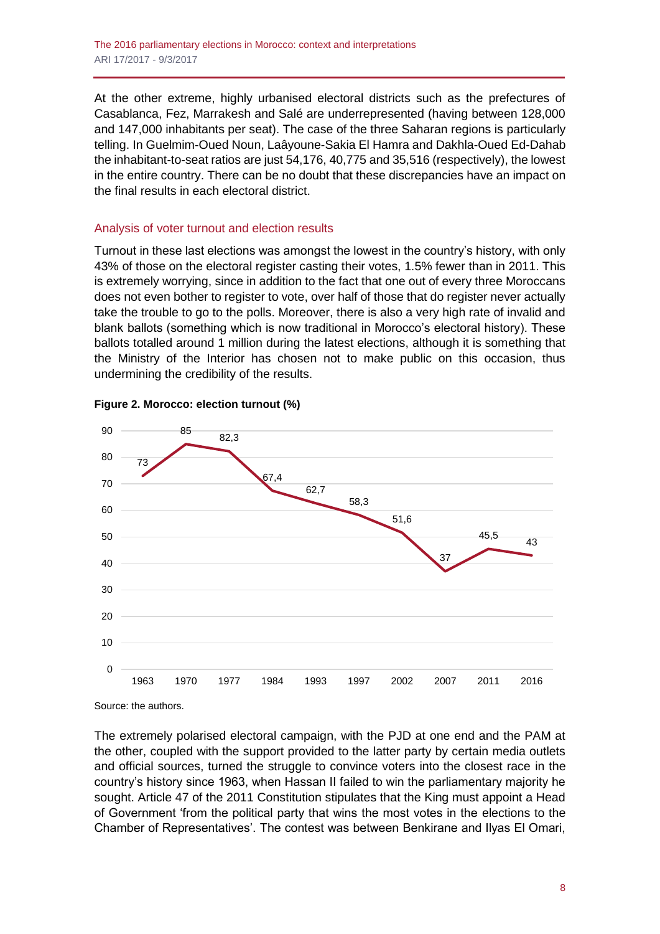At the other extreme, highly urbanised electoral districts such as the prefectures of Casablanca, Fez, Marrakesh and Salé are underrepresented (having between 128,000 and 147,000 inhabitants per seat). The case of the three Saharan regions is particularly telling. In Guelmim-Oued Noun, Laâyoune-Sakia El Hamra and Dakhla-Oued Ed-Dahab the inhabitant-to-seat ratios are just 54,176, 40,775 and 35,516 (respectively), the lowest in the entire country. There can be no doubt that these discrepancies have an impact on the final results in each electoral district.

## Analysis of voter turnout and election results

Turnout in these last elections was amongst the lowest in the country's history, with only 43% of those on the electoral register casting their votes, 1.5% fewer than in 2011. This is extremely worrying, since in addition to the fact that one out of every three Moroccans does not even bother to register to vote, over half of those that do register never actually take the trouble to go to the polls. Moreover, there is also a very high rate of invalid and blank ballots (something which is now traditional in Morocco's electoral history). These ballots totalled around 1 million during the latest elections, although it is something that the Ministry of the Interior has chosen not to make public on this occasion, thus undermining the credibility of the results.



#### **Figure 2. Morocco: election turnout (%)**

Source: the authors.

The extremely polarised electoral campaign, with the PJD at one end and the PAM at the other, coupled with the support provided to the latter party by certain media outlets and official sources, turned the struggle to convince voters into the closest race in the country's history since 1963, when Hassan II failed to win the parliamentary majority he sought. Article 47 of the 2011 Constitution stipulates that the King must appoint a Head of Government 'from the political party that wins the most votes in the elections to the Chamber of Representatives'. The contest was between Benkirane and Ilyas El Omari,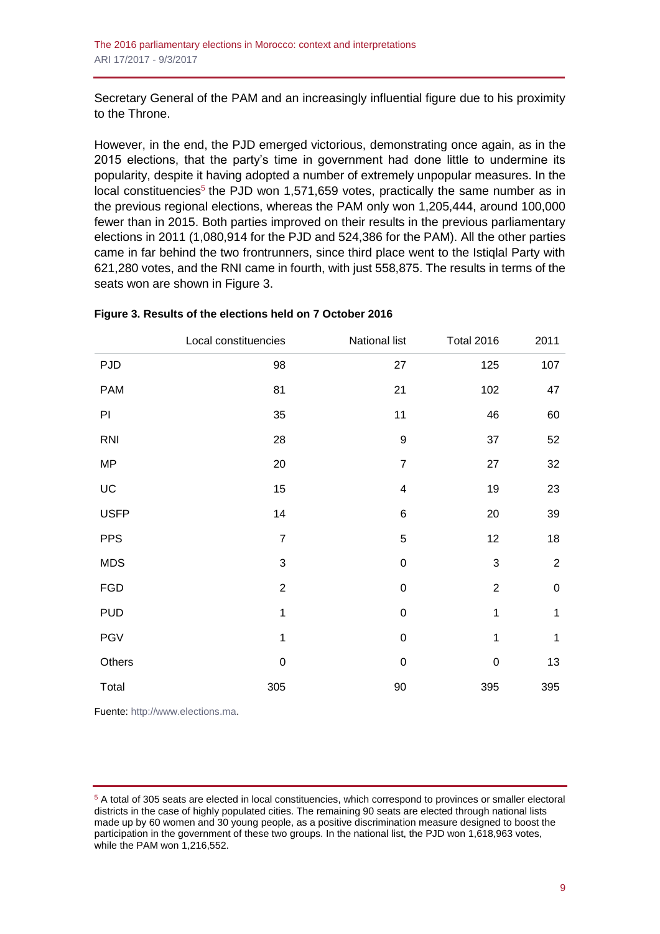Secretary General of the PAM and an increasingly influential figure due to his proximity to the Throne.

However, in the end, the PJD emerged victorious, demonstrating once again, as in the 2015 elections, that the party's time in government had done little to undermine its popularity, despite it having adopted a number of extremely unpopular measures. In the local constituencies<sup>5</sup> the PJD won 1,571,659 votes, practically the same number as in the previous regional elections, whereas the PAM only won 1,205,444, around 100,000 fewer than in 2015. Both parties improved on their results in the previous parliamentary elections in 2011 (1,080,914 for the PJD and 524,386 for the PAM). All the other parties came in far behind the two frontrunners, since third place went to the Istiqlal Party with 621,280 votes, and the RNI came in fourth, with just 558,875. The results in terms of the seats won are shown in Figure 3.

|             | Local constituencies      | National list           | <b>Total 2016</b>         | 2011             |
|-------------|---------------------------|-------------------------|---------------------------|------------------|
| <b>PJD</b>  | 98                        | 27                      | 125                       | 107              |
| <b>PAM</b>  | 81                        | 21                      | 102                       | 47               |
| PI          | 35                        | 11                      | 46                        | 60               |
| <b>RNI</b>  | 28                        | $\boldsymbol{9}$        | 37                        | 52               |
| <b>MP</b>   | 20                        | $\overline{7}$          | 27                        | 32               |
| UC          | 15                        | $\overline{\mathbf{4}}$ | 19                        | 23               |
| <b>USFP</b> | 14                        | $\,6$                   | $20\,$                    | 39               |
| <b>PPS</b>  | $\overline{7}$            | 5                       | 12                        | 18               |
| <b>MDS</b>  | $\ensuremath{\mathsf{3}}$ | $\mathbf 0$             | $\ensuremath{\mathsf{3}}$ | $\boldsymbol{2}$ |
| <b>FGD</b>  | $\overline{c}$            | $\mathbf 0$             | $\boldsymbol{2}$          | $\boldsymbol{0}$ |
| <b>PUD</b>  | 1                         | $\mathbf 0$             | 1                         | $\mathbf{1}$     |
| <b>PGV</b>  | 1                         | $\mathbf 0$             | 1                         | $\mathbf 1$      |
| Others      | $\pmb{0}$                 | $\boldsymbol{0}$        | $\pmb{0}$                 | 13               |
| Total       | 305                       | $90\,$                  | 395                       | 395              |

#### **Figure 3. Results of the elections held on 7 October 2016**

Fuente: [http://www.elections.ma.](http://www.elections.ma/)

<sup>5</sup> A total of 305 seats are elected in local constituencies, which correspond to provinces or smaller electoral districts in the case of highly populated cities. The remaining 90 seats are elected through national lists made up by 60 women and 30 young people, as a positive discrimination measure designed to boost the participation in the government of these two groups. In the national list, the PJD won 1,618,963 votes, while the PAM won 1,216,552.